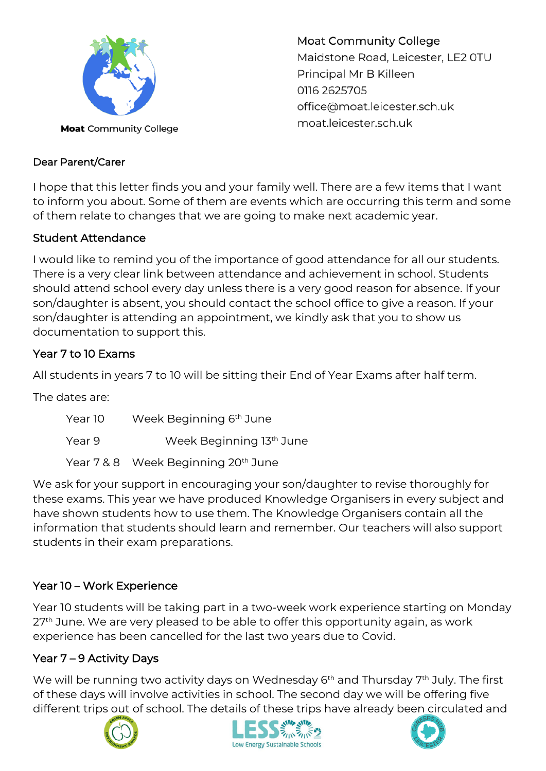

**Moat Community College** Maidstone Road, Leicester, LE2 0TU Principal Mr B Killeen 0116 2625705 office@moat.leicester.sch.uk moat.leicester.sch.uk

## Dear Parent/Carer

I hope that this letter finds you and your family well. There are a few items that I want to inform you about. Some of them are events which are occurring this term and some of them relate to changes that we are going to make next academic year.

## Student Attendance

I would like to remind you of the importance of good attendance for all our students. There is a very clear link between attendance and achievement in school. Students should attend school every day unless there is a very good reason for absence. If your son/daughter is absent, you should contact the school office to give a reason. If your son/daughter is attending an appointment, we kindly ask that you to show us documentation to support this.

## Year 7 to 10 Exams

All students in years 7 to 10 will be sitting their End of Year Exams after half term.

The dates are:

| Year 10 | Week Beginning 6 <sup>th</sup> June |
|---------|-------------------------------------|
| Year 9  | Week Beginning 13th June            |
|         | Year 7 & 8 Week Beginning 20th June |

We ask for your support in encouraging your son/daughter to revise thoroughly for these exams. This year we have produced Knowledge Organisers in every subject and have shown students how to use them. The Knowledge Organisers contain all the information that students should learn and remember. Our teachers will also support students in their exam preparations.

# Year 10 – Work Experience

Year 10 students will be taking part in a two-week work experience starting on Monday 27<sup>th</sup> June. We are very pleased to be able to offer this opportunity again, as work experience has been cancelled for the last two years due to Covid.

# Year 7 – 9 Activity Days

We will be running two activity days on Wednesday 6<sup>th</sup> and Thursday 7<sup>th</sup> July. The first of these days will involve activities in school. The second day we will be offering five different trips out of school. The details of these trips have already been circulated and





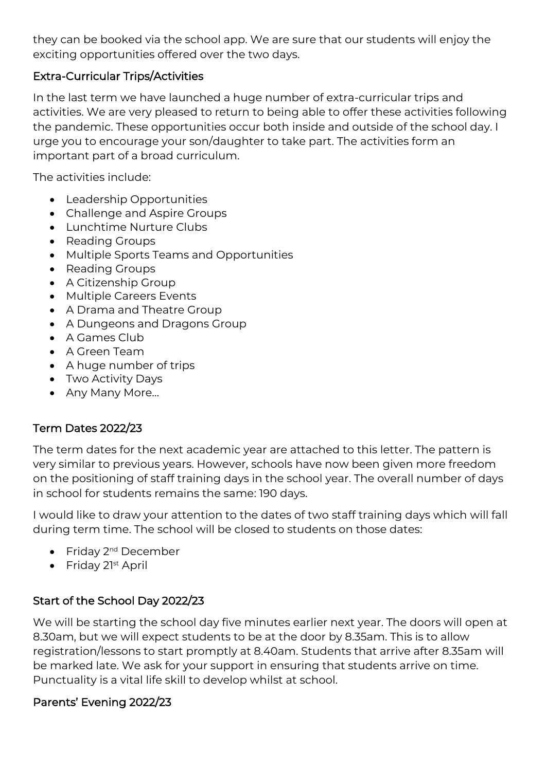they can be booked via the school app. We are sure that our students will enjoy the exciting opportunities offered over the two days.

## Extra-Curricular Trips/Activities

In the last term we have launched a huge number of extra-curricular trips and activities. We are very pleased to return to being able to offer these activities following the pandemic. These opportunities occur both inside and outside of the school day. I urge you to encourage your son/daughter to take part. The activities form an important part of a broad curriculum.

The activities include:

- Leadership Opportunities
- Challenge and Aspire Groups
- Lunchtime Nurture Clubs
- Reading Groups
- Multiple Sports Teams and Opportunities
- Reading Groups
- A Citizenship Group
- Multiple Careers Events
- A Drama and Theatre Group
- A Dungeons and Dragons Group
- A Games Club
- A Green Team
- A huge number of trips
- Two Activity Days
- Any Many More…

# Term Dates 2022/23

The term dates for the next academic year are attached to this letter. The pattern is very similar to previous years. However, schools have now been given more freedom on the positioning of staff training days in the school year. The overall number of days in school for students remains the same: 190 days.

I would like to draw your attention to the dates of two staff training days which will fall during term time. The school will be closed to students on those dates:

- Friday 2<sup>nd</sup> December
- Friday 21<sup>st</sup> April

# Start of the School Day 2022/23

We will be starting the school day five minutes earlier next year. The doors will open at 8.30am, but we will expect students to be at the door by 8.35am. This is to allow registration/lessons to start promptly at 8.40am. Students that arrive after 8.35am will be marked late. We ask for your support in ensuring that students arrive on time. Punctuality is a vital life skill to develop whilst at school.

# Parents' Evening 2022/23